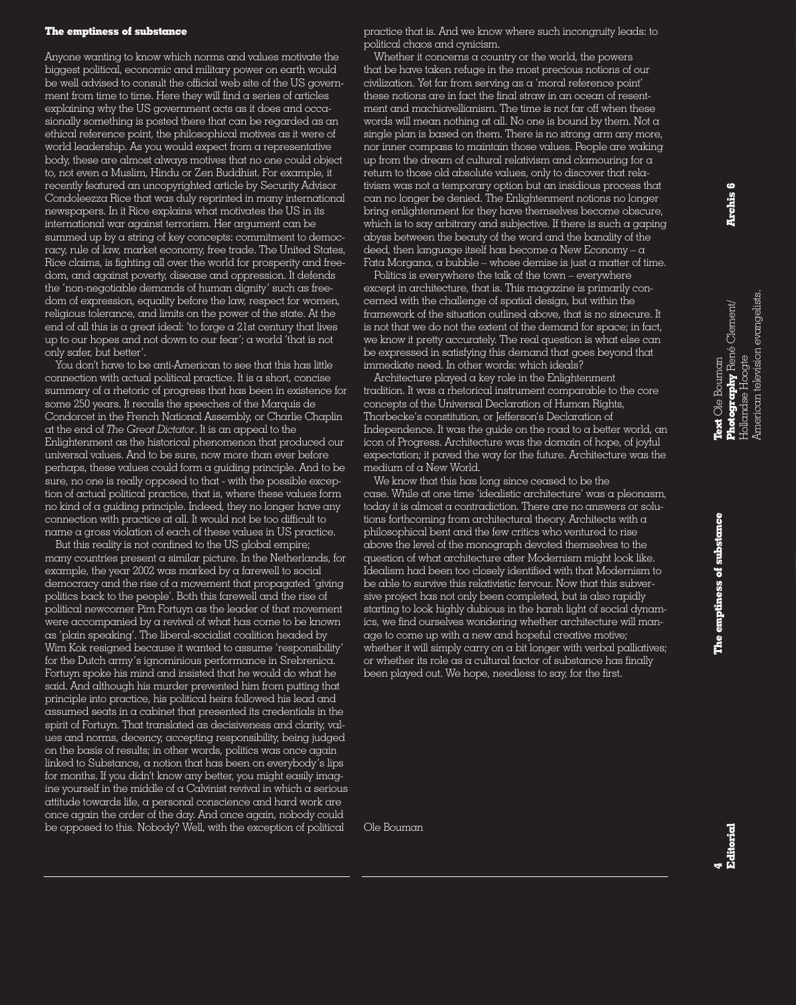## **The emptiness of substance**

Anyone wanting to know which norms and values motivate the biggest political, economic and military power on earth would be well advised to consult the official web site of the US government from time to time. Here they will find  $\alpha$  series of articles explaining why the US government acts as it does and occasionally something is posted there that can be regarded as an ethical reference point, the philosophical motives as it were of world leadership. As you would expect from a representative body, these are almost always motives that no one could object to, not even a Muslim, Hindu or Zen Buddhist. For example, it recently featured an uncopyrighted article by Security Advisor Condoleezza Rice that was duly reprinted in many international newspapers. In it Rice explains what motivates the US in its international war against terrorism. Her argument can be summed up by a string of key concepts: commitment to democracy, rule of law, market economy, free trade. The United States, Rice claims, is fighting all over the world for prosperity and freedom, and against poverty, disease and oppression. It defends the 'non-negotiable demands of human dignity' such as freedom of expression, equality before the law, respect for women, religious tolerance, and limits on the power of the state. At the end of all this is a great ideal: 'to forge  $\alpha$  21st century that lives up to our hopes and not down to our fear'; a world 'that is not only safer, but better'.

You don't have to be anti-American to see that this has little connection with actual political practice. It is a short, concise summary of a rhetoric of progress that has been in existence for some 250 years. It recalls the speeches of the Marquis de Condorcet in the French National Assembly, or Charlie Chaplin at the end of *The Great Dictator*. It is an appeal to the Enlightenment as the historical phenomenon that produced our universal values. And to be sure, now more than ever before perhaps, these values could form a guiding principle. And to be sure, no one is really opposed to that - with the possible exception of actual political practice, that is, where these values form no kind of a guiding principle. Indeed, they no longer have any connection with practice at all. It would not be too difficult to name a gross violation of each of these values in US practice.

But this reality is not confined to the US global empire; many countries present a similar picture. In the Netherlands, for example, the year 2002 was marked by a farewell to social democracy and the rise of a movement that propagated 'giving politics back to the people'. Both this farewell and the rise of political newcomer Pim Fortuyn as the leader of that movement were accompanied by a revival of what has come to be known as 'plain speaking'. The liberal-socialist coalition headed by Wim Kok resigned because it wanted to assume 'responsibility' for the Dutch army's ignominious performance in Srebrenica. Fortuyn spoke his mind and insisted that he would do what he said. And although his murder prevented him from putting that principle into practice, his political heirs followed his lead and assumed seats in a cabinet that presented its credentials in the spirit of Fortuyn. That translated as decisiveness and clarity, values and norms, decency, accepting responsibility, being judged on the basis of results; in other words, politics was once again linked to Substance, a notion that has been on everybody's lips for months. If you didn't know any better, you might easily imagine yourself in the middle of  $\alpha$  Calvinist revival in which  $\alpha$  serious attitude towards life, a personal conscience and hard work are once again the order of the day. And once again, nobody could be opposed to this. Nobody? Well, with the exception of political

practice that is. And we know where such incongruity leads: to political chaos and cynicism.

Whether it concerns a country or the world, the powers that be have taken refuge in the most precious notions of our civilization. Yet far from serving as a 'moral reference point' these notions are in fact the final straw in an ocean of resentment and machiavellianism. The time is not far off when these words will mean nothing at all. No one is bound by them. Not a single plan is based on them. There is no strong arm any more, nor inner compass to maintain those values. People are waking up from the dream of cultural relativism and clamouring for a return to those old absolute values, only to discover that relativism was not a temporary option but an insidious process that can no longer be denied. The Enlightenment notions no longer bring enlightenment for they have themselves become obscure, which is to say arbitrary and subjective. If there is such a gaping abyss between the beauty of the word and the banality of the deed, then language itself has become a New Economy  $-\alpha$ Fata Morgana, a bubble – whose demise is just a matter of time.

Politics is everywhere the talk of the town – everywhere except in architecture, that is. This magazine is primarily concerned with the challenge of spatial design, but within the framework of the situation outlined above, that is no sinecure. It is not that we do not the extent of the demand for space; in fact, we know it pretty accurately. The real question is what else can be expressed in satisfying this demand that goes beyond that immediate need. In other words: which ideals?

Architecture played a key role in the Enlightenment tradition. It was a rhetorical instrument comparable to the core concepts of the Universal Declaration of Human Rights, Thorbecke's constitution, or Jefferson's Declaration of Independence. It was the guide on the road to a better world, an icon of Progress. Architecture was the domain of hope, of joyful expectation; it paved the way for the future. Architecture was the medium of a New World.

We know that this has long since ceased to be the case. While at one time 'idealistic architecture' was a pleonasm, today it is almost a contradiction. There are no answers or solutions forthcoming from architectural theory. Architects with a philosophical bent and the few critics who ventured to rise above the level of the monograph devoted themselves to the question of what architecture after Modernism might look like. Idealism had been too closely identified with that Modernism to be able to survive this relativistic fervour. Now that this subversive project has not only been completed, but is also rapidly starting to look highly dubious in the harsh light of social dynamics, we find ourselves wondering whether architecture will manage to come up with  $\alpha$  new and hopeful creative motive; whether it will simply carry on  $\alpha$  bit longer with verbal palliatives; or whether its role as a cultural factor of substance has finally been played out. We hope, needless to say, for the first.

Ole Bouman